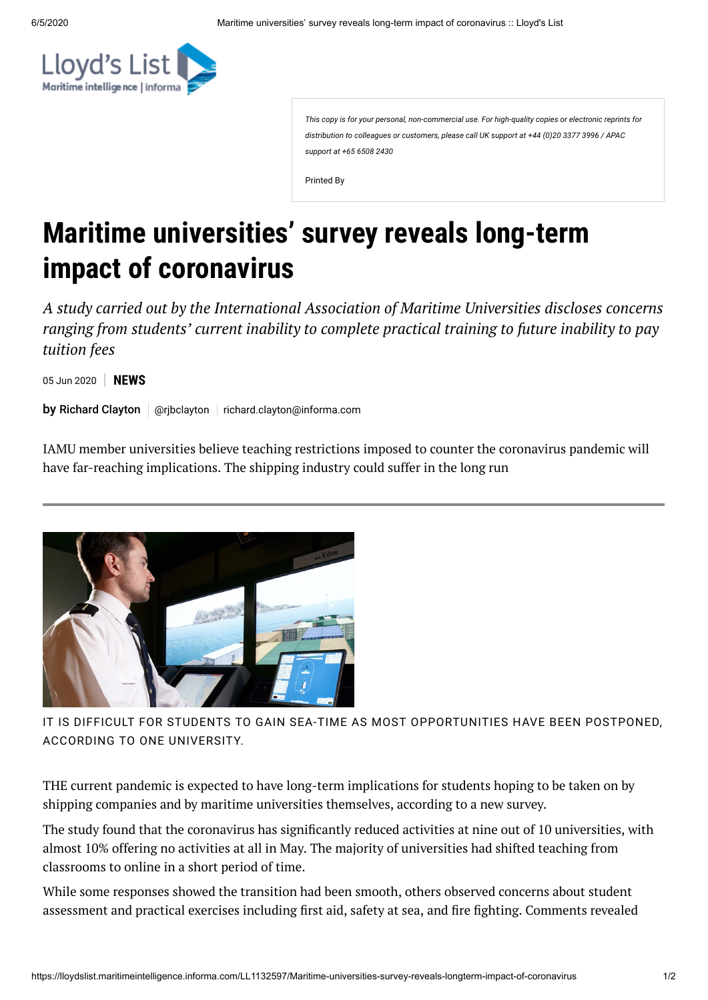*This copy is for your personal, non-commercial use. For high-quality copies or electronic reprints for distribution to colleagues or customers, please call UK support at +44 (0)20 3377 3996 / APAC support at +65 6508 2430*

Printed By

## **Maritime universities' survey reveals long-term impact of coronavirus**

*A study carried out by the International Association of Maritime Universities discloses concerns ranging from students' current inability to complete practical training to future inability to pay tuition fees*

05 Jun 2020 **NEWS**

by Richard Clayton | @rjbclayton | [richard.clayton@informa.com](mailto:richard.clayton@informa.com)

IAMU member universities believe teaching restrictions imposed to counter the coronavirus pandemic will have far-reaching implications. The shipping industry could suffer in the long run



IT IS DIFFICULT FOR STUDENTS TO GAIN SEA-TIME AS MOST OPPORTUNITIES HAVE BEEN POSTPONED, ACCORDING TO ONE UNIVERSITY.

THE current pandemic is expected to have long-term implications for students hoping to be taken on by shipping companies and by maritime universities themselves, according to a new survey.

The study found that the coronavirus has significantly reduced activities at nine out of 10 universities, with almost 10% offering no activities at all in May. The majority of universities had shifted teaching from classrooms to online in a short period of time.

While some responses showed the transition had been smooth, others observed concerns about student assessment and practical exercises including first aid, safety at sea, and fire fighting. Comments revealed